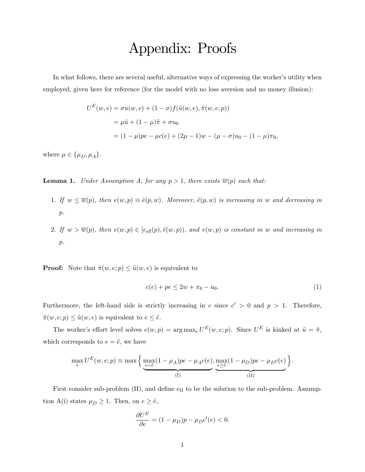## Appendix: Proofs

In what follows, there are several useful, alternative ways of expressing the worker's utility when employed, given here for reference (for the model with no loss aversion and no money illusion):

$$
U^{E}(w, e) = \sigma u(w, e) + (1 - \sigma) f(\tilde{u}(w, e), \tilde{\pi}(w, e; p))
$$
  
=  $\mu \tilde{u} + (1 - \mu) \tilde{\pi} + \sigma u_0$   
=  $(1 - \mu)pe - \mu c(e) + (2\mu - 1)w - (\mu - \sigma)u_0 - (1 - \mu)\pi_0,$ 

where  $\mu \in {\{\mu_D, \mu_A\}}$ .

**Lemma 1.** Under Assumption A, for any  $p > 1$ , there exists  $\overline{w}(p)$  such that:

- 1. If  $w \leq \overline{w}(p)$ , then  $e(w, p) \equiv \tilde{e}(p, w)$ . Moreover,  $\tilde{e}(p, w)$  is increasing in w and decreasing in  $\,p.\,$
- 2. If  $w > \overline{w}(p)$ , then  $e(w, p) \in [e_{\text{eff}}(p), \tilde{e}(w, p))$ , and  $e(w, p)$  is constant in w and increasing in  $\,p.\,$

**Proof:** Note that  $\tilde{\pi}(w, e; p) \leq \tilde{u}(w, e)$  is equivalent to

$$
c(e) + pe \le 2w + \pi_0 - u_0. \tag{1}
$$

Furthermore, the left-hand side is strictly increasing in e since  $c' > 0$  and  $p > 1$ . Therefore,  $\tilde{\pi}(w, e; p) \leq \tilde{u}(w, e)$  is equivalent to  $e \leq \tilde{e}$ .

The worker's effort level solves  $e(w, p) = \arg \max_{e} U^{E}(w, e; p)$ . Since  $U^{E}$  is kinked at  $\tilde{u} = \tilde{\pi}$ , which corresponds to  $e = \tilde{e}$ , we have

$$
\max_{e} U^{E}(w, e; p) \equiv \max \left\{ \underbrace{\max_{e \le \tilde{e}} (1 - \mu_{A}) p e - \mu_{A} c(e)}_{\text{(I)}}, \underbrace{\max_{e \ge \tilde{e}} (1 - \mu_{D}) p e - \mu_{D} c(e)}_{\text{(II)}} \right\}.
$$

First consider sub-problem (II), and define  $e_{II}$  to be the solution to the sub-problem. Assumption A(i) states  $\mu_D \ge 1$ . Then, on  $e \ge \tilde{e}$ ,

$$
\frac{\partial U^E}{\partial e} = (1 - \mu_D)p - \mu_D c'(e) < 0.
$$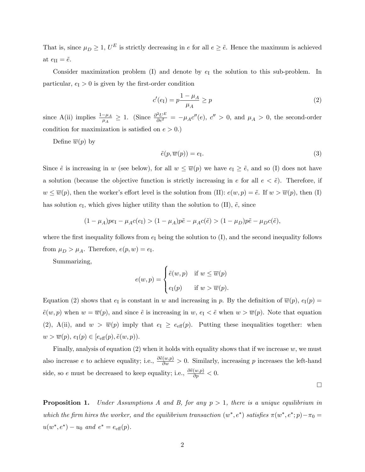That is, since  $\mu_D \geq 1$ ,  $U^E$  is strictly decreasing in e for all  $e \geq \tilde{e}$ . Hence the maximum is achieved at  $e_{\text{II}} = \tilde{e}$ .

Consider maximization problem  $(I)$  and denote by  $e_I$  the solution to this sub-problem. In particular,  $e_I > 0$  is given by the first-order condition

$$
c'(e_I) = p \frac{1 - \mu_A}{\mu_A} \ge p \tag{2}
$$

since A(ii) implies  $\frac{1-\mu_A}{\mu_A} \ge 1$ . (Since  $\frac{\partial^2 U^E}{\partial e^2} = -\mu_A c''(e)$ ,  $c'' > 0$ , and  $\mu_A > 0$ , the second-order condition for maximization is satisfied on  $e > 0$ .)

Define  $\overline{w}(p)$  by

$$
\tilde{e}(p,\overline{w}(p)) = e_{\text{I}}.\tag{3}
$$

Since  $\tilde{e}$  is increasing in w (see below), for all  $w \leq \overline{w}(p)$  we have  $e_I \geq \tilde{e}$ , and so (I) does not have a solution (because the objective function is strictly increasing in e for all  $e < \tilde{e}$ ). Therefore, if  $w \leq \overline{w}(p)$ , then the worker's effort level is the solution from (II):  $e(w, p) = \tilde{e}$ . If  $w > \overline{w}(p)$ , then (I) has solution  $e_I$ , which gives higher utility than the solution to (II),  $\tilde{e}$ , since

$$
(1 - \mu_A)pe_1 - \mu_A c(e_1) > (1 - \mu_A)p\tilde{e} - \mu_A c(\tilde{e}) > (1 - \mu_D)p\tilde{e} - \mu_D c(\tilde{e}),
$$

where the first inequality follows from  $e_I$  being the solution to  $(I)$ , and the second inequality follows from  $\mu_D > \mu_A$ . Therefore,  $e(p, w) = e_I$ .

Summarizing,

$$
e(w, p) = \begin{cases} \tilde{e}(w, p) & \text{if } w \leq \overline{w}(p) \\ e_1(p) & \text{if } w > \overline{w}(p). \end{cases}
$$

Equation (2) shows that  $e_I$  is constant in w and increasing in p. By the definition of  $\overline{w}(p)$ ,  $e_I(p)$  =  $\tilde{e}(w, p)$  when  $w = \overline{w}(p)$ , and since  $\tilde{e}$  is increasing in  $w$ ,  $e<sub>I</sub> < \tilde{e}$  when  $w > \overline{w}(p)$ . Note that equation (2), A(ii), and  $w > \overline{w}(p)$  imply that  $e_I \ge e_{\text{eff}}(p)$ . Putting these inequalities together: when  $w > \overline{w}(p), e_{\text{I}}(p) \in [e_{\text{eff}}(p), \tilde{e}(w, p)).$ 

Finally, analysis of equation  $(2)$  when it holds with equality shows that if we increase w, we must also increase e to achieve equality; i.e.,  $\frac{\partial \tilde{e}(w,p)}{\partial w} > 0$ . Similarly, increasing p increases the left-hand side, so e must be decreased to keep equality; i.e.,  $\frac{\partial \tilde{e}(w,p)}{\partial p} < 0$ .

 $\Box$ 

**Proposition 1.** Under Assumptions A and B, for any  $p > 1$ , there is a unique equilibrium in which the firm hires the worker, and the equilibrium transaction  $(w^*, e^*)$  satisfies  $\pi(w^*, e^*; p) - \pi_0 =$  $u(w^*, e^*) - u_0$  and  $e^* = e_{\text{eff}}(p)$ .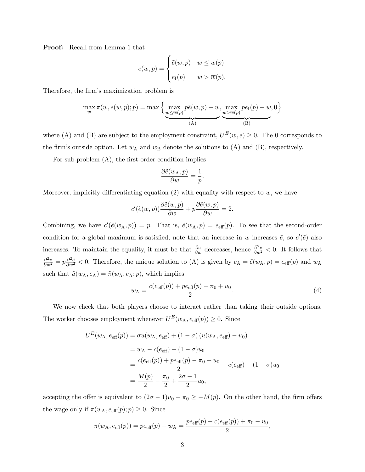Proof: Recall from Lemma 1 that

$$
e(w, p) = \begin{cases} \tilde{e}(w, p) & w \leq \overline{w}(p) \\ e_1(p) & w > \overline{w}(p). \end{cases}
$$

Therefore, the firm's maximization problem is

$$
\max_{w} \pi(w, e(w, p); p) = \max \left\{ \underbrace{\max_{w \le \overline{w}(p)} p\tilde{e}(w, p) - w}_{(A)}, \underbrace{\max_{w > \overline{w}(p)} p e_{I}(p) - w}_{(B)}, 0 \right\}
$$

where (A) and (B) are subject to the employment constraint,  $U^{E}(w, e) \ge 0$ . The 0 corresponds to the firm's outside option. Let  $w_A$  and  $w_B$  denote the solutions to (A) and (B), respectively.

For sub-problem  $(A)$ , the first-order condition implies

$$
\frac{\partial \tilde{e}(w_{\rm A}, p)}{\partial w} = \frac{1}{p}.
$$

Moreover, implicitly differentiating equation  $(2)$  with equality with respect to w, we have

$$
c'(\tilde{e}(w,p))\frac{\partial \tilde{e}(w,p)}{\partial w} + p \frac{\partial \tilde{e}(w,p)}{\partial w} = 2.
$$

Combining, we have  $c'(\tilde{e}(w_A, p)) = p$ . That is,  $\tilde{e}(w_A, p) = e_{\text{eff}}(p)$ . To see that the second-order condition for a global maximum is satisfied, note that an increase in w increases  $\tilde{e}$ , so  $c'(\tilde{e})$  also increases. To maintain the equality, it must be that  $\frac{\partial \tilde{e}}{\partial w}$  decreases, hence  $\frac{\partial^2 \tilde{e}}{\partial w^2} < 0$ . It follows that  $\frac{\partial^2 \pi}{\partial w^2} = p \frac{\partial^2 \tilde{e}}{\partial w^2} < 0$ . Therefore, the unique solution to (A) is given by  $e_A = \tilde{e}(w_A, p) = e_{\text{eff}}(p)$  and  $w_A$ such that  $\tilde{u}(w_{A}, e_{A}) = \tilde{\pi}(w_{A}, e_{A}; p)$ , which implies

$$
w_{A} = \frac{c(e_{\text{eff}}(p)) + pe_{\text{eff}}(p) - \pi_{0} + u_{0}}{2}.
$$
\n(4)

We now check that both players choose to interact rather than taking their outside options. The worker chooses employment whenever  $U^E(w_A, e_{\text{eff}}(p)) \geq 0$ . Since

$$
U^{E}(w_{A}, e_{\text{eff}}(p)) = \sigma u(w_{A}, e_{\text{eff}}) + (1 - \sigma) (u(w_{A}, e_{\text{eff}}) - u_{0})
$$
  
=  $w_{A} - c(e_{\text{eff}}) - (1 - \sigma)u_{0}$   
=  $\frac{c(e_{\text{eff}}(p)) + pe_{\text{eff}}(p) - \pi_{0} + u_{0}}{2} - c(e_{\text{eff}}) - (1 - \sigma)u_{0}$   
=  $\frac{M(p)}{2} - \frac{\pi_{0}}{2} + \frac{2\sigma - 1}{2}u_{0},$ 

accepting the offer is equivalent to  $(2\sigma - 1)u_0 - \pi_0 \ge -M(p)$ . On the other hand, the firm offers the wage only if  $\pi(w_A, e_{\text{eff}}(p); p) \geq 0$ . Since

$$
\pi(w_{\rm A}, e_{\rm eff}(p)) = p e_{\rm eff}(p) - w_{\rm A} = \frac{p e_{\rm eff}(p) - c(e_{\rm eff}(p)) + \pi_0 - u_0}{2},
$$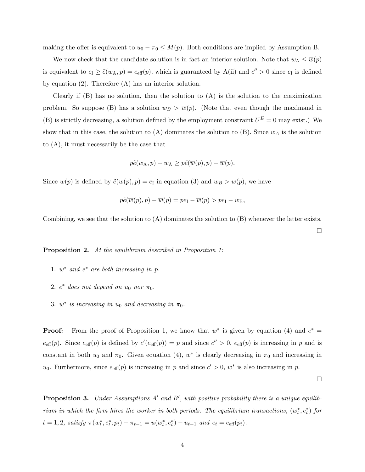making the offer is equivalent to  $u_0 - \pi_0 \leq M(p)$ . Both conditions are implied by Assumption B.

We now check that the candidate solution is in fact an interior solution. Note that  $w_A \leq \overline{w}(p)$ is equivalent to  $e_I \ge \tilde{e}(w_A, p) = e_{\text{eff}}(p)$ , which is guaranteed by  $A(ii)$  and  $c'' > 0$  since  $e_I$  is defined by equation (2). Therefore (A) has an interior solution.

Clearly if  $(B)$  has no solution, then the solution to  $(A)$  is the solution to the maximization problem. So suppose (B) has a solution  $w_B > \overline{w}(p)$ . (Note that even though the maximand in (B) is strictly decreasing, a solution defined by the employment constraint  $U^E = 0$  may exist.) We show that in this case, the solution to  $(A)$  dominates the solution to  $(B)$ . Since  $w<sub>A</sub>$  is the solution to (A), it must necessarily be the case that

$$
p\tilde{e}(w_{\mathcal{A}}, p) - w_{\mathcal{A}} \geq p\tilde{e}(\overline{w}(p), p) - \overline{w}(p).
$$

Since  $\overline{w}(p)$  is defined by  $\tilde{e}(\overline{w}(p), p) = e_I$  in equation (3) and  $w_B > \overline{w}(p)$ , we have

$$
p\tilde{e}(\overline{w}(p),p)-\overline{w}(p)=pe_{\rm I}-\overline{w}(p)>pe_{\rm I}-w_{\rm B},
$$

Combining, we see that the solution to  $(A)$  dominates the solution to  $(B)$  whenever the latter exists.

Proposition 2. At the equilibrium described in Proposition 1:

- 1.  $w^*$  and  $e^*$  are both increasing in p.
- 2.  $e^*$  does not depend on  $u_0$  nor  $\pi_0$ .
- 3.  $w^*$  is increasing in  $u_0$  and decreasing in  $\pi_0$ .

**Proof:** From the proof of Proposition 1, we know that  $w^*$  is given by equation (4) and  $e^* =$  $e_{\text{eff}}(p)$ . Since  $e_{\text{eff}}(p)$  is defined by  $c'(e_{\text{eff}}(p)) = p$  and since  $c'' > 0$ ,  $e_{\text{eff}}(p)$  is increasing in p and is constant in both  $u_0$  and  $\pi_0$ . Given equation (4),  $w^*$  is clearly decreasing in  $\pi_0$  and increasing in  $u_0$ . Furthermore, since  $e_{\text{eff}}(p)$  is increasing in p and since  $c' > 0$ ,  $w^*$  is also increasing in p.

 $\Box$ 

**Proposition 3.** Under Assumptions  $A'$  and  $B'$ , with positive probability there is a unique equilibrium in which the firm hires the worker in both periods. The equilibrium transactions,  $(w_t^*, e_t^*)$  for  $t = 1, 2$ , satisfy  $\pi(w_t^*, e_t^*; p_t) - \pi_{t-1} = u(w_t^*, e_t^*) - u_{t-1}$  and  $e_t = e_{\text{eff}}(p_t)$ .

 $\Box$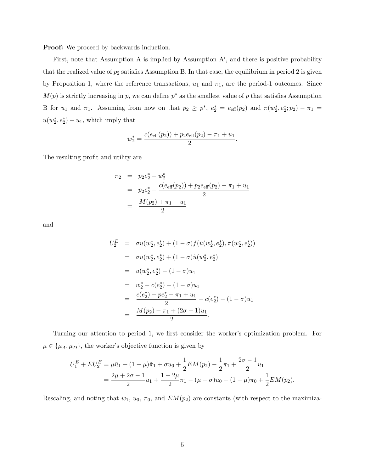**Proof:** We proceed by backwards induction.

First, note that Assumption A is implied by Assumption  $A'$ , and there is positive probability that the realized value of  $p_2$  satisfies Assumption B. In that case, the equilibrium in period 2 is given by Proposition 1, where the reference transactions,  $u_1$  and  $\pi_1$ , are the period-1 outcomes. Since  $M(p)$  is strictly increasing in p, we can define  $p^*$  as the smallest value of p that satisfies Assumption B for  $u_1$  and  $\pi_1$ . Assuming from now on that  $p_2 \geq p^*$ ,  $e_2^* = e_{\text{eff}}(p_2)$  and  $\pi(w_2^*, e_2^*; p_2) - \pi_1 =$  $u(w_2^*, e_2^*) - u_1$ , which imply that

$$
w_2^* = \frac{c(e_{\text{eff}}(p_2)) + p_2 e_{\text{eff}}(p_2) - \pi_1 + u_1}{2}.
$$

The resulting profit and utility are

$$
\pi_2 = p_2 e_2^* - w_2^*
$$
  
=  $p_2 e_2^* - \frac{c(e_{\text{eff}}(p_2)) + p_2 e_{\text{eff}}(p_2) - \pi_1 + u_1}{2}$   
=  $\frac{M(p_2) + \pi_1 - u_1}{2}$ 

and

$$
U_2^E = \sigma u(w_2^*, e_2^*) + (1 - \sigma) f(\tilde{u}(w_2^*, e_2^*), \tilde{\pi}(w_2^*, e_2^*))
$$
  
\n
$$
= \sigma u(w_2^*, e_2^*) + (1 - \sigma) \tilde{u}(w_2^*, e_2^*)
$$
  
\n
$$
= u(w_2^*, e_2^*) - (1 - \sigma)u_1
$$
  
\n
$$
= w_2^* - c(e_2^*) - (1 - \sigma)u_1
$$
  
\n
$$
= \frac{c(e_2^*) + pe_2^* - \pi_1 + u_1}{2} - c(e_2^*) - (1 - \sigma)u_1
$$
  
\n
$$
= \frac{M(p_2) - \pi_1 + (2\sigma - 1)u_1}{2}.
$$

Turning our attention to period 1, we first consider the worker's optimization problem. For  $\mu \in {\{\mu_A, \mu_B\}}$ , the worker's objective function is given by

$$
U_1^E + EU_2^E = \mu \tilde{u}_1 + (1 - \mu)\tilde{\pi}_1 + \sigma u_0 + \frac{1}{2} EM(p_2) - \frac{1}{2}\pi_1 + \frac{2\sigma - 1}{2}u_1
$$
  
= 
$$
\frac{2\mu + 2\sigma - 1}{2}u_1 + \frac{1 - 2\mu}{2}\pi_1 - (\mu - \sigma)u_0 - (1 - \mu)\pi_0 + \frac{1}{2} EM(p_2).
$$

Rescaling, and noting that  $w_1$ ,  $u_0$ ,  $\pi_0$ , and  $EM(p_2)$  are constants (with respect to the maximiza-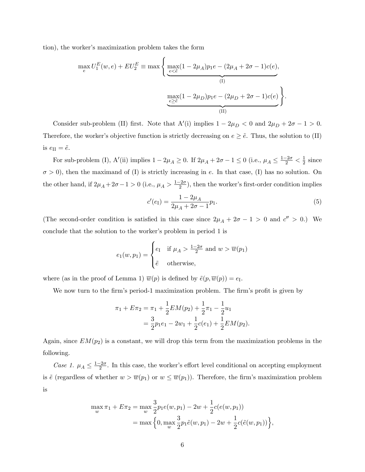tion), the worker's maximization problem takes the form

$$
\max_{e} U_{1}^{E}(w, e) + EU_{2}^{E} \equiv \max \left\{ \underbrace{\max_{e \le \tilde{e}} (1 - 2\mu_{A}) p_{1} e - (2\mu_{A} + 2\sigma - 1)c(e)}_{(I)}, \underbrace{\max_{e \ge \tilde{e}} (1 - 2\mu_{D}) p_{1} e - (2\mu_{D} + 2\sigma - 1)c(e)}_{(II)} \right\}.
$$

Consider sub-problem (II) first. Note that  $A'(i)$  implies  $1 - 2\mu_D < 0$  and  $2\mu_D + 2\sigma - 1 > 0$ . Therefore, the worker's objective function is strictly decreasing on  $e \geq \tilde{e}$ . Thus, the solution to (II) is  $e_{\text{II}} = \tilde{e}$ .

For sub-problem (I), A'(ii) implies  $1 - 2\mu_A \ge 0$ . If  $2\mu_A + 2\sigma - 1 \le 0$  (i.e.,  $\mu_A \le \frac{1 - 2\sigma}{2} < \frac{1}{2}$  $rac{1}{2}$  since  $\sigma > 0$ ), then the maximand of (I) is strictly increasing in e. In that case, (I) has no solution. On the other hand, if  $2\mu_A + 2\sigma - 1 > 0$  (i.e.,  $\mu_A > \frac{1-2\sigma}{2}$ ), then the worker's first-order condition implies

$$
c'(e_1) = \frac{1 - 2\mu_A}{2\mu_A + 2\sigma - 1} p_1.
$$
\n(5)

(The second-order condition is satisfied in this case since  $2\mu_A + 2\sigma - 1 > 0$  and  $c'' > 0$ .) We conclude that the solution to the worker's problem in period 1 is

$$
e_1(w, p_1) = \begin{cases} e_1 & \text{if } \mu_A > \frac{1 - 2\sigma}{2} \text{ and } w > \overline{w}(p_1) \\ \tilde{e} & \text{otherwise,} \end{cases}
$$

where (as in the proof of Lemma 1)  $\overline{w}(p)$  is defined by  $\tilde{e}(p, \overline{w}(p)) = e_I$ .

We now turn to the firm's period-1 maximization problem. The firm's profit is given by

$$
\pi_1 + E\pi_2 = \pi_1 + \frac{1}{2}EM(p_2) + \frac{1}{2}\pi_1 - \frac{1}{2}u_1
$$
  
= 
$$
\frac{3}{2}p_1e_1 - 2w_1 + \frac{1}{2}c(e_1) + \frac{1}{2}EM(p_2).
$$

Again, since  $EM(p_2)$  is a constant, we will drop this term from the maximization problems in the following.

Case 1.  $\mu_A \leq \frac{1-2\sigma}{2}$ . In this case, the worker's effort level conditional on accepting employment is  $\tilde{e}$  (regardless of whether  $w > \overline{w}(p_1)$  or  $w \leq \overline{w}(p_1)$ ). Therefore, the firm's maximization problem is

$$
\max_{w} \pi_1 + E\pi_2 = \max_{w} \frac{3}{2} p_1 e(w, p_1) - 2w + \frac{1}{2} c(e(w, p_1))
$$
  
= 
$$
\max \left\{ 0, \max_{w} \frac{3}{2} p_1 \tilde{e}(w, p_1) - 2w + \frac{1}{2} c(\tilde{e}(w, p_1)) \right\},\,
$$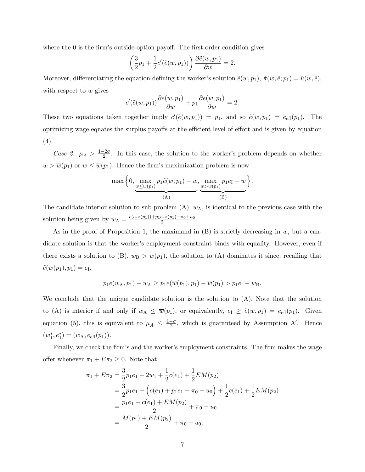where the  $\theta$  is the firm's outside-option payoff. The first-order condition gives

$$
\left(\frac{3}{2}p_1 + \frac{1}{2}c'(\tilde{e}(w, p_1))\right)\frac{\partial \tilde{e}(w, p_1)}{\partial w} = 2.
$$

Moreover, differentiating the equation defining the worker's solution  $\tilde{e}(w, p_1), \tilde{\pi}(w, \tilde{e}; p_1) = \tilde{u}(w, \tilde{e}),$ with respect to  $w$  gives

$$
c'(\tilde{e}(w, p_1))\frac{\partial \tilde{e}(w, p_1)}{\partial w} + p_1 \frac{\partial \tilde{e}(w, p_1)}{\partial w} = 2.
$$

These two equations taken together imply  $c'(\tilde{e}(w, p_1)) = p_1$ , and so  $\tilde{e}(w, p_1) = e_{\text{eff}}(p_1)$ . The optimizing wage equates the surplus payoffs at the efficient level of effort and is given by equation  $(4).$ 

Case 2.  $\mu_A > \frac{1-2\sigma}{2}$ . In this case, the solution to the worker's problem depends on whether  $w > \overline{w}(p_1)$  or  $w \leq \overline{w}(p_1)$ . Hence the firm's maximization problem is now

$$
\max\Big\{0,\max_{\underbrace{w\leq \overline{w}(p_1)}} p_1\tilde{e}(w,p_1)-w,\max_{\underbrace{w\geq \overline{w}(p_1)}} p_1e_1-w\Big\}.
$$

The candidate interior solution to sub-problem  $(A)$ ,  $w<sub>A</sub>$ , is identical to the previous case with the solution being given by  $w_A = \frac{c(e_{\text{eff}}(p_1)) + p_1 e_{\text{eff}}(p_1) - \pi_0 + u_0}{2}$ .

As in the proof of Proposition 1, the maximand in  $(B)$  is strictly decreasing in w, but a candidate solution is that the worker's employment constraint binds with equality. However, even if there exists a solution to (B),  $w_B > \overline{w}(p_1)$ , the solution to (A) dominates it since, recalling that  $\tilde{e}(\overline{w}(p_1), p_1) = e_{\text{I}},$ 

$$
p_1\tilde{e}(w_A, p_1) - w_A \geq p_1\tilde{e}(\overline{w}(p_1), p_1) - \overline{w}(p_1) > p_1e_1 - w_B.
$$

We conclude that the unique candidate solution is the solution to  $(A)$ . Note that the solution to (A) is interior if and only if  $w_A \leq \overline{w}(p_1)$ , or equivalently,  $e_I \geq \tilde{e}(w, p_1) = e_{\text{eff}}(p_1)$ . Given equation (5), this is equivalent to  $\mu_A \leq \frac{1-\sigma}{2}$ , which is guaranteed by Assumption A'. Hence  $(w_1^*, e_1^*) = (w_A, e_{\text{eff}}(p_1)).$ 

Finally, we check the firm's and the worker's employment constraints. The firm makes the wage offer whenever  $\pi_1 + E \pi_2 \geq 0$ . Note that

$$
\pi_1 + E\pi_2 = \frac{3}{2}p_1e_1 - 2w_1 + \frac{1}{2}c(e_1) + \frac{1}{2}EM(p_2)
$$
  
=  $\frac{3}{2}p_1e_1 - (c(e_1) + p_1e_1 - \pi_0 + u_0) + \frac{1}{2}c(e_1) + \frac{1}{2}EM(p_2)$   
=  $\frac{p_1e_1 - c(e_1) + EM(p_2)}{2} + \pi_0 - u_0$   
=  $\frac{M(p_1) + EM(p_2)}{2} + \pi_0 - u_0.$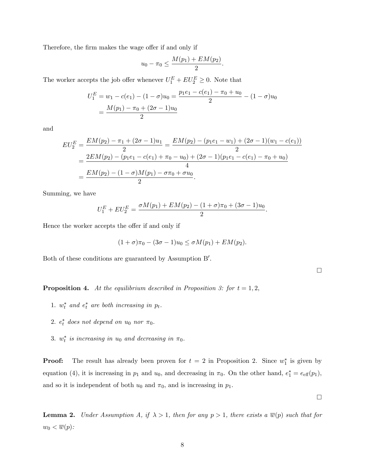Therefore, the firm makes the wage offer if and only if

$$
u_0 - \pi_0 \le \frac{M(p_1) + EM(p_2)}{2}.
$$

The worker accepts the job offer whenever  $U_1^E + EU_2^E \geq 0$ . Note that

$$
U_1^E = w_1 - c(e_1) - (1 - \sigma)u_0 = \frac{p_1e_1 - c(e_1) - \pi_0 + u_0}{2} - (1 - \sigma)u_0
$$
  
= 
$$
\frac{M(p_1) - \pi_0 + (2\sigma - 1)u_0}{2}
$$

and

$$
EU_2^E = \frac{EM(p_2) - \pi_1 + (2\sigma - 1)u_1}{2} = \frac{EM(p_2) - (p_1e_1 - w_1) + (2\sigma - 1)(w_1 - c(e_1))}{2}
$$
  
= 
$$
\frac{2EM(p_2) - (p_1e_1 - c(e_1) + \pi_0 - u_0) + (2\sigma - 1)(p_1e_1 - c(e_1) - \pi_0 + u_0)}{4}
$$
  
= 
$$
\frac{EM(p_2) - (1 - \sigma)M(p_1) - \sigma\pi_0 + \sigma u_0}{2}.
$$

Summing, we have

$$
U_1^E + EU_2^E = \frac{\sigma M(p_1) + EM(p_2) - (1 + \sigma)\pi_0 + (3\sigma - 1)u_0}{2}.
$$

Hence the worker accepts the offer if and only if

$$
(1+\sigma)\pi_0 - (3\sigma - 1)u_0 \le \sigma M(p_1) + EM(p_2).
$$

Both of these conditions are guaranteed by Assumption B'.

 $\Box$ 

**Proposition 4.** At the equilibrium described in Proposition 3: for  $t = 1, 2$ ,

- 1.  $w_t^*$  and  $e_t^*$  are both increasing in  $p_t$ .
- 2.  $e_t^*$  does not depend on  $u_0$  nor  $\pi_0$ .
- 3.  $w_t^*$  is increasing in  $u_0$  and decreasing in  $\pi_0$ .

**Proof:** The result has already been proven for  $t = 2$  in Proposition 2. Since  $w_1^*$  is given by equation (4), it is increasing in  $p_1$  and  $u_0$ , and decreasing in  $\pi_0$ . On the other hand,  $e_1^* = e_{\text{eff}}(p_1)$ , and so it is independent of both  $u_0$  and  $\pi_0$ , and is increasing in  $p_1$ .

**Lemma 2.** Under Assumption A, if  $\lambda > 1$ , then for any  $p > 1$ , there exists a  $\overline{w}(p)$  such that for  $w_0 < \overline{w}(p)$ :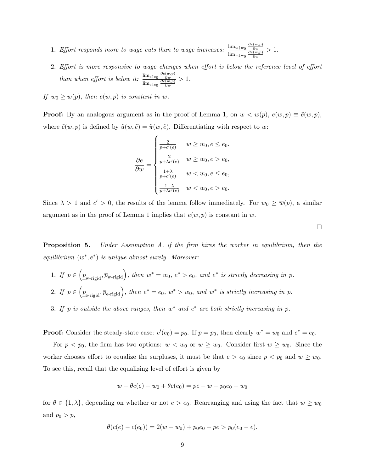- 1. Effort responds more to wage cuts than to wage increases:  $\frac{\lim_{w \uparrow w_0} \frac{\partial e(w,p)}{\partial w}}{\lim_{w \uparrow w_0} \frac{\partial e(w,p)}{\partial w}}$  $\lim_{w \downarrow w_0} \frac{\partial e(w,p)}{\partial w}$  $> 1$ .
- 2. Effort is more responsive to wage changes when effort is below the reference level of effort than when effort is below it:  $\frac{\lim_{e \uparrow e_0} \frac{\partial e(w,p)}{\partial w}}{\lim_{e \uparrow w} \frac{\partial e(w,p)}{\partial w}}$  $\lim_{e\downarrow e_0} \frac{\partial e(w,p)}{\partial w}$  $> 1$ .

If  $w_0 \geq \overline{w}(p)$ , then  $e(w, p)$  is constant in w.

**Proof:** By an analogous argument as in the proof of Lemma 1, on  $w < \overline{w}(p)$ ,  $e(w, p) \equiv \tilde{e}(w, p)$ , where  $\tilde{e}(w, p)$  is defined by  $\tilde{u}(w, \tilde{e}) = \tilde{\pi}(w, \tilde{e})$ . Differentiating with respect to w:

$$
\frac{\partial e}{\partial w} = \begin{cases} \frac{2}{p+c'(e)} & w \ge w_0, e \le e_0, \\ \frac{2}{p+\lambda c'(e)} & w \ge w_0, e > e_0, \\ \frac{1+\lambda}{p+c'(e)} & w < w_0, e \le e_0, \\ \frac{1+\lambda}{p+\lambda c'(e)} & w < w_0, e > e_0. \end{cases}
$$

Since  $\lambda > 1$  and  $c' > 0$ , the results of the lemma follow immediately. For  $w_0 \ge \overline{w}(p)$ , a similar argument as in the proof of Lemma 1 implies that  $e(w, p)$  is constant in w.

 $\Box$ 

**Proposition 5.** Under Assumption A, if the firm hires the worker in equilibrium, then the equilibrium  $(w^*, e^*)$  is unique almost surely. Moreover:

- 1. If  $p \in (\underline{p}_{w\text{-rigid}}, \overline{p}_{w\text{-rigid}})$ , then  $w^* = w_0$ ,  $e^* > e_0$ , and  $e^*$  is strictly decreasing in p. 2. If  $p \in (\underline{p}_{\text{e-rigid}}, \overline{p}_{\text{e-rigid}})$ , then  $e^* = e_0$ ,  $w^* > w_0$ , and  $w^*$  is strictly increasing in p.
- 
- 3. If p is outside the above ranges, then  $w^*$  and  $e^*$  are both strictly increasing in p.

**Proof:** Consider the steady-state case:  $c'(e_0) = p_0$ . If  $p = p_0$ , then clearly  $w^* = w_0$  and  $e^* = e_0$ .

For  $p < p_0$ , the firm has two options:  $w < w_0$  or  $w \ge w_0$ . Consider first  $w \ge w_0$ . Since the worker chooses effort to equalize the surpluses, it must be that  $e > e_0$  since  $p < p_0$  and  $w \geq w_0$ . To see this, recall that the equalizing level of effort is given by

$$
w - \theta c(e) - w_0 + \theta c(e_0) = pe - w - p_0 e_0 + w_0
$$

for  $\theta \in \{1, \lambda\}$ , depending on whether or not  $e > e_0$ . Rearranging and using the fact that  $w \geq w_0$ and  $p_0 > p$ ,

$$
\theta(c(e) - c(e_0)) = 2(w - w_0) + p_0 e_0 - p e > p_0 (e_0 - e).
$$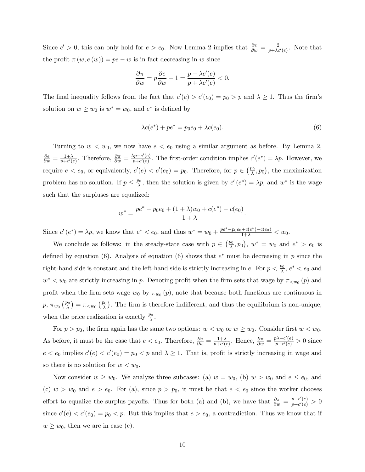Since  $c' > 0$ , this can only hold for  $e > e_0$ . Now Lemma 2 implies that  $\frac{\partial e}{\partial w} = \frac{2}{p + \lambda c}$  $\frac{2}{p+\lambda c'(e)}$ . Note that the profit  $\pi(w, e(w)) = pe - w$  is in fact decreasing in w since

$$
\frac{\partial \pi}{\partial w} = p \frac{\partial e}{\partial w} - 1 = \frac{p - \lambda c'(e)}{p + \lambda c'(e)} < 0.
$$

The final inequality follows from the fact that  $c'(e) > c'(e_0) = p_0 > p$  and  $\lambda \ge 1$ . Thus the firm's solution on  $w \geq w_0$  is  $w^* = w_0$ , and  $e^*$  is defined by

$$
\lambda c(e^*) + pe^* = p_0 e_0 + \lambda c(e_0).
$$
 (6)

Turning to  $w < w_0$ , we now have  $e < e_0$  using a similar argument as before. By Lemma 2,  $\frac{\partial e}{\partial w} = \frac{1+\lambda}{p+c'(\alpha)}$  $\frac{1+\lambda}{p+c'(e)}$ . Therefore,  $\frac{\partial \pi}{\partial w} = \frac{\lambda p-c'(e)}{p+c'(e)}$  $\frac{dp-c(e)}{p+c'(e)}$ . The first-order condition implies  $c'(e^*) = \lambda p$ . However, we require  $e < e_0$ , or equivalently,  $c'(e) < c'(e_0) = p_0$ . Therefore, for  $p \in \left(\frac{p_0}{\lambda}\right)$  $(\frac{p_0}{\lambda}, p_0)$ , the maximization problem has no solution. If  $p \leq \frac{p_0}{\lambda}$  $\frac{\partial}{\partial \lambda}$ , then the solution is given by  $c'(e^*) = \lambda p$ , and  $w^*$  is the wage such that the surpluses are equalized:

$$
w^* = \frac{pe^* - p_0e_0 + (1 + \lambda)w_0 + c(e^*) - c(e_0)}{1 + \lambda}.
$$

Since  $c'(e^*) = \lambda p$ , we know that  $e^* < e_0$ , and thus  $w^* = w_0 + \frac{pe^* - p_0 e_0 + c(e^*) - c(e_0)}{1 + \lambda} < w_0$ .

We conclude as follows: in the steady-state case with  $p \in \left(\frac{p_0}{\lambda}\right)$  $(\frac{p_0}{\lambda}, p_0), w^* = w_0 \text{ and } e^* > e_0 \text{ is}$ defined by equation (6). Analysis of equation (6) shows that  $e^*$  must be decreasing in p since the right-hand side is constant and the left-hand side is strictly increasing in e. For  $p < \frac{p_0}{\lambda}$ ,  $e^* < e_0$  and  $w^* < w_0$  are strictly increasing in p. Denoting profit when the firm sets that wage by  $\pi_{\leq w_0}(p)$  and profit when the firm sets wage  $w_0$  by  $\pi_{w_0}(p)$ , note that because both functions are continuous in  $p, \pi_{w_0} \left(\frac{p_0}{\lambda}\right)$  $\left(\frac{p_0}{\lambda}\right) = \pi_{\langle w_0 \rangle} \left(\frac{p_0}{\lambda}\right)$  $\frac{\rho_0}{\lambda}$ . The firm is therefore indifferent, and thus the equilibrium is non-unique, when the price realization is exactly  $\frac{p_0}{\lambda}$ .

For  $p > p_0$ , the firm again has the same two options:  $w < w_0$  or  $w \geq w_0$ . Consider first  $w < w_0$ . As before, it must be the case that  $e < e_0$ . Therefore,  $\frac{\partial e}{\partial w} = \frac{1+\lambda}{p+c'(e_0)}$  $\frac{1+\lambda}{p+c'(e)}$ . Hence,  $\frac{\partial \pi}{\partial w} = \frac{p\lambda-c'(e)}{p+c'(e)}$  $\frac{\partial A - C(e)}{\partial p + c'(e)} > 0$  since  $e < e_0$  implies  $c'(e) < c'(e_0) = p_0 < p$  and  $\lambda \ge 1$ . That is, profit is strictly increasing in wage and so there is no solution for  $w < w_0$ .

Now consider  $w \geq w_0$ . We analyze three subcases: (a)  $w = w_0$ , (b)  $w > w_0$  and  $e \leq e_0$ , and (c)  $w > w_0$  and  $e > e_0$ . For (a), since  $p > p_0$ , it must be that  $e < e_0$  since the worker chooses effort to equalize the surplus payoffs. Thus for both (a) and (b), we have that  $\frac{\partial \pi}{\partial w} = \frac{p - c'(e)}{p + c'(e)}$  $\frac{p-c'(e)}{p+c'(e)} > 0$ since  $c'(e) < c'(e_0) = p_0 < p$ . But this implies that  $e > e_0$ , a contradiction. Thus we know that if  $w \geq w_0$ , then we are in case (c).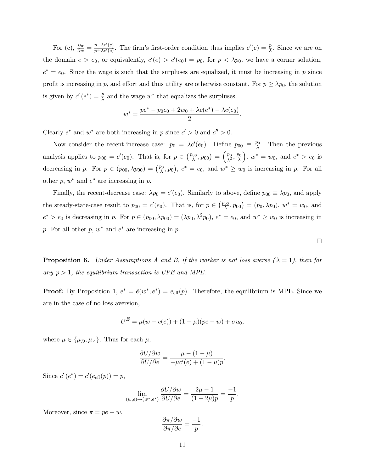For (c),  $\frac{\partial \pi}{\partial w} = \frac{p - \lambda c'(e)}{p + \lambda c'(e)}$  $\frac{p-\lambda c'(e)}{p+\lambda c'(e)}$ . The firm's first-order condition thus implies  $c'(e) = \frac{p}{\lambda}$ . Since we are on the domain  $e > e_0$ , or equivalently,  $c'(e) > c'(e_0) = p_0$ , for  $p < \lambda p_0$ , we have a corner solution,  $e^* = e_0$ . Since the wage is such that the surpluses are equalized, it must be increasing in p since profit is increasing in p, and effort and thus utility are otherwise constant. For  $p \geq \lambda p_0$ , the solution is given by  $c'(e^*) = \frac{p}{\lambda}$  and the wage  $w^*$  that equalizes the surpluses:

$$
w^* = \frac{pe^* - p_0e_0 + 2w_0 + \lambda c(e^*) - \lambda c(e_0)}{2}.
$$

Clearly  $e^*$  and  $w^*$  are both increasing in p since  $c' > 0$  and  $c'' > 0$ .

Now consider the recent-increase case:  $p_0 = \lambda c'(e_0)$ . Define  $p_{00} \equiv \frac{p_0}{\lambda}$  $\frac{\partial 0}{\partial \lambda}$ . Then the previous analysis applies to  $p_{00} = c'(e_0)$ . That is, for  $p \in \left(\frac{p_{00}}{\lambda}\right)$  $(\frac{p_0}{\lambda}, p_{00}) = (\frac{p_0}{\lambda^2})$  $\frac{p_0}{\lambda^2}, \frac{p_0}{\lambda}$  $\lambda$  $\Big), w^* = w_0, \text{ and } e^* > e_0 \text{ is}$ decreasing in p. For  $p \in (p_{00}, \lambda p_{00}) = \left(\frac{p_0}{\lambda}\right)$  $(\frac{p_0}{\lambda}, p_0), e^* = e_0$ , and  $w^* \geq w_0$  is increasing in p. For all other  $p, w^*$  and  $e^*$  are increasing in  $p$ .

Finally, the recent-decrease case:  $\lambda p_0 = c'(e_0)$ . Similarly to above, define  $p_{00} \equiv \lambda p_0$ , and apply the steady-state-case result to  $p_{00} = c'(e_0)$ . That is, for  $p \in \left(\frac{p_{00}}{\lambda}\right)$  $\left(\frac{\partial 0}{\partial \lambda}, p_{00}\right) = (p_0, \lambda p_0), w^* = w_0$ , and  $e^* > e_0$  is decreasing in p. For  $p \in (p_{00}, \lambda p_{00}) = (\lambda p_0, \lambda^2 p_0), e^* = e_0$ , and  $w^* \geq w_0$  is increasing in p. For all other  $p, w^*$  and  $e^*$  are increasing in  $p$ .

**Proposition 6.** Under Assumptions A and B, if the worker is not loss averse  $(\lambda = 1)$ , then for any  $p > 1$ , the equilibrium transaction is UPE and MPE.

**Proof:** By Proposition 1,  $e^* = \tilde{e}(w^*, e^*) = e_{\text{eff}}(p)$ . Therefore, the equilibrium is MPE. Since we are in the case of no loss aversion,

$$
U^{E} = \mu(w - c(e)) + (1 - \mu)(pe - w) + \sigma u_0,
$$

where  $\mu \in {\{\mu_D, \mu_A\}}$ . Thus for each  $\mu$ ,

$$
\frac{\partial U/\partial w}{\partial U/\partial e} = \frac{\mu - (1 - \mu)}{-\mu c'(e) + (1 - \mu)p}.
$$

Since  $c'(e^*) = c'(e_{\text{eff}}(p)) = p$ ,

$$
\lim_{(w,e)\to(w^*,e^*)}\frac{\partial U/\partial w}{\partial U/\partial e}=\frac{2\mu-1}{(1-2\mu)p}=\frac{-1}{p}.
$$

Moreover, since  $\pi = pe - w$ ,

$$
\frac{\partial \pi/\partial w}{\partial \pi/\partial e} = \frac{-1}{p}.
$$

 $\Box$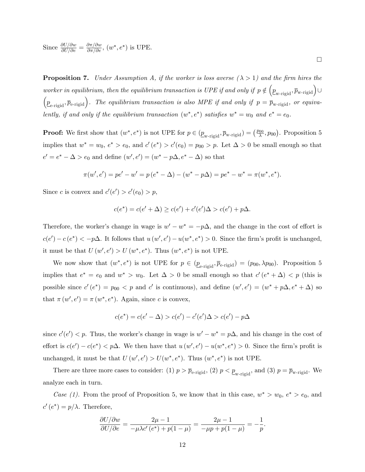Since  $\frac{\partial U/\partial w}{\partial U/\partial e} = \frac{\partial \pi/\partial w}{\partial \pi/\partial e}$ ,  $(w^*, e^*)$  is UPE.

**Proposition 7.** Under Assumption A, if the worker is loss averse  $(\lambda > 1)$  and the firm hires the worker in equilibrium, then the equilibrium transaction is UPE if and only if  $p \notin \left(\underline{p}_{\text{w-rigid}}, \overline{p}_{\text{w-rigid}}\right) \cup$  $\left(\underline{p}_{\text{e-rigid}}, \overline{p}_{\text{e-rigid}}\right)$ . The equilibrium transaction is also MPE if and only if  $p = \overline{p}_{\text{w-rigid}}$ , or equivalently, if and only if the equilibrium transaction  $(w^*, e^*)$  satisfies  $w^* = w_0$  and  $e^* = e_0$ .

**Proof:** We first show that  $(w^*, e^*)$  is not UPE for  $p \in (\underline{p}_{w\text{-rigid}}, \overline{p}_{w\text{-rigid}}) = (\frac{p_{00}}{\lambda})$  $(\frac{p_{00}}{\lambda}, p_{00})$ . Proposition 5 implies that  $w^* = w_0$ ,  $e^* > e_0$ , and  $c'(e^*) > c'(e_0) = p_{00} > p$ . Let  $\Delta > 0$  be small enough so that  $e' = e^* - \Delta > e_0$  and define  $(w', e') = (w^* - p\Delta, e^* - \Delta)$  so that

$$
\pi(w',e') = pe' - w' = p(e^* - \Delta) - (w^* - p\Delta) = pe^* - w^* = \pi(w^*,e^*).
$$

Since c is convex and  $c'(e') > c'(e_0) > p$ ,

$$
c(e^*) = c(e' + \Delta) \ge c(e') + c'(e')\Delta > c(e') + p\Delta.
$$

Therefore, the worker's change in wage is  $w' - w^* = -p\Delta$ , and the change in the cost of effort is  $c(e') - c(e^*) < -p\Delta$ . It follows that  $u(w', e') - u(w^*, e^*) > 0$ . Since the firm's profit is unchanged, it must be that  $U(w', e') > U(w^*, e^*)$ . Thus  $(w^*, e^*)$  is not UPE.

We now show that  $(w^*, e^*)$  is not UPE for  $p \in (\underline{p}_{e\text{-rigid}}, \overline{p}_{e\text{-rigid}}) = (p_{00}, \lambda p_{00})$ . Proposition 5 implies that  $e^* = e_0$  and  $w^* > w_0$ . Let  $\Delta > 0$  be small enough so that  $c'(e^* + \Delta) < p$  (this is possible since  $c'(e^*) = p_{00} < p$  and  $c'$  is continuous), and define  $(w', e') = (w^* + p\Delta, e^* + \Delta)$  so that  $\pi(w', e') = \pi(w^*, e^*)$ . Again, since c is convex,

$$
c(e^*) = c(e' - \Delta) > c(e') - c'(e')\Delta > c(e') - p\Delta
$$

since  $c'(e') < p$ . Thus, the worker's change in wage is  $w' - w^* = p\Delta$ , and his change in the cost of effort is  $c(e') - c(e^*) < p\Delta$ . We then have that  $u(w', e') - u(w^*, e^*) > 0$ . Since the firm's profit is unchanged, it must be that  $U(w', e') > U(w^*, e^*)$ . Thus  $(w^*, e^*)$  is not UPE.

There are three more cases to consider: (1)  $p > \bar{p}_{e\text{-rigid}}$ , (2)  $p < \underline{p}_{w\text{-rigid}}$ , and (3)  $p = \bar{p}_{w\text{-rigid}}$ . We analyze each in turn.

Case (1). From the proof of Proposition 5, we know that in this case,  $w^* > w_0$ ,  $e^* > e_0$ , and  $c'(e^*) = p/\lambda$ . Therefore,

$$
\frac{\partial U/\partial w}{\partial U/\partial e} = \frac{2\mu - 1}{-\mu \lambda c'(e^*) + p(1 - \mu)} = \frac{2\mu - 1}{-\mu p + p(1 - \mu)} = -\frac{1}{p}.
$$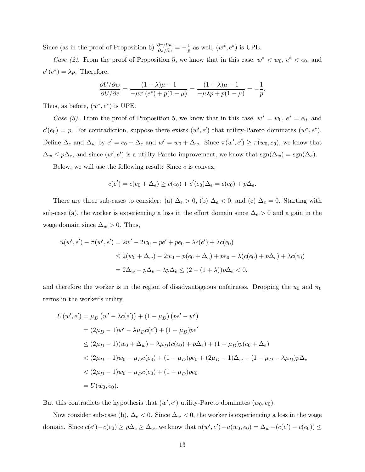Since (as in the proof of Proposition 6)  $\frac{\partial \pi / \partial w}{\partial \pi / \partial e} = -\frac{1}{p}$  $\frac{1}{p}$  as well,  $(w^*, e^*)$  is UPE.

Case (2). From the proof of Proposition 5, we know that in this case,  $w^* < w_0$ ,  $e^* < e_0$ , and  $c'(e^*) = \lambda p$ . Therefore,

$$
\frac{\partial U/\partial w}{\partial U/\partial e} = \frac{(1+\lambda)\mu - 1}{-\mu c'(e^*) + p(1-\mu)} = \frac{(1+\lambda)\mu - 1}{-\mu\lambda p + p(1-\mu)} = -\frac{1}{p}.
$$

Thus, as before,  $(w^*, e^*)$  is UPE.

Case (3). From the proof of Proposition 5, we know that in this case,  $w^* = w_0$ ,  $e^* = e_0$ , and  $c'(e_0) = p$ . For contradiction, suppose there exists  $(w', e')$  that utility-Pareto dominates  $(w^*, e^*)$ . Define  $\Delta_e$  and  $\Delta_w$  by  $e' = e_0 + \Delta_e$  and  $w' = w_0 + \Delta_w$ . Since  $\pi(w', e') \ge \pi(w_0, e_0)$ , we know that  $\Delta_w \leq p\Delta_e$ , and since  $(w', e')$  is a utility-Pareto improvement, we know that  $sgn(\Delta_w) = sgn(\Delta_e)$ .

Below, we will use the following result: Since  $c$  is convex,

$$
c(e') = c(e_0 + \Delta_e) \ge c(e_0) + c'(e_0)\Delta_e = c(e_0) + p\Delta_e.
$$

There are three sub-cases to consider: (a)  $\Delta_e > 0$ , (b)  $\Delta_e < 0$ , and (c)  $\Delta_e = 0$ . Starting with sub-case (a), the worker is experiencing a loss in the effort domain since  $\Delta_e > 0$  and a gain in the wage domain since  $\Delta_w > 0$ . Thus,

$$
\tilde{u}(w', e') - \tilde{\pi}(w', e') = 2w' - 2w_0 - pe' + pe_0 - \lambda c(e') + \lambda c(e_0)
$$
  
\n
$$
\leq 2(w_0 + \Delta_w) - 2w_0 - p(e_0 + \Delta_e) + pe_0 - \lambda (c(e_0) + p\Delta_e) + \lambda c(e_0)
$$
  
\n
$$
= 2\Delta_w - p\Delta_e - \lambda p\Delta_e \leq (2 - (1 + \lambda))p\Delta_e < 0,
$$

and therefore the worker is in the region of disadvantageous unfairness. Dropping the  $u_0$  and  $\pi_0$ terms in the worker's utility,

$$
U(w', e') = \mu_D (w' - \lambda c(e')) + (1 - \mu_D) (pe' - w')
$$
  
=  $(2\mu_D - 1)w' - \lambda\mu_D c(e') + (1 - \mu_D)pe'$   
 $\leq (2\mu_D - 1)(w_0 + \Delta_w) - \lambda\mu_D (c(e_0) + p\Delta_e) + (1 - \mu_D) p(e_0 + \Delta_e)$   
 $< (2\mu_D - 1)w_0 - \mu_D c(e_0) + (1 - \mu_D)pe_0 + (2\mu_D - 1)\Delta_w + (1 - \mu_D - \lambda\mu_D) p\Delta_e$   
 $< (2\mu_D - 1)w_0 - \mu_D c(e_0) + (1 - \mu_D)pe_0$   
=  $U(w_0, e_0)$ .

But this contradicts the hypothesis that  $(w', e')$  utility-Pareto dominates  $(w_0, e_0)$ .

Now consider sub-case (b),  $\Delta_e < 0$ . Since  $\Delta_w < 0$ , the worker is experiencing a loss in the wage domain. Since  $c(e') - c(e_0) \ge p\Delta_e \ge \Delta_w$ , we know that  $u(w', e') - u(w_0, e_0) = \Delta_w - (c(e') - c(e_0)) \le$